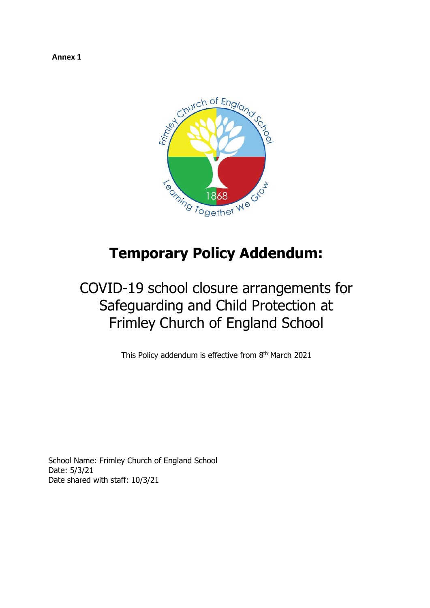**Annex 1**



# **Temporary Policy Addendum:**

# COVID-19 school closure arrangements for Safeguarding and Child Protection at Frimley Church of England School

This Policy addendum is effective from 8<sup>th</sup> March 2021

School Name: Frimley Church of England School Date: 5/3/21 Date shared with staff: 10/3/21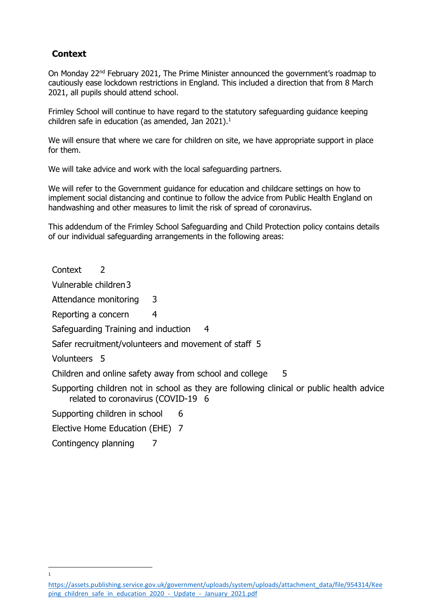## <span id="page-1-0"></span>**Context**

On Monday 22nd February 2021, The Prime Minister announced the government's roadmap to cautiously ease lockdown restrictions in England. This included a direction that from 8 March 2021, all pupils should attend school.

Frimley School will continue to have regard to the statutory safeguarding guidance keeping children safe in education (as amended, Jan 2021). 1

We will ensure that where we care for children on site, we have appropriate support in place for them.

We will take advice and work with the local safeguarding partners.

We will refer to the Government guidance for education and childcare settings on how to implement social distancing and continue to follow the advice from Public Health England on handwashing and other measures to limit the risk of spread of coronavirus.

This addendum of the Frimley School Safeguarding and Child Protection policy contains details of our individual safeguarding arrangements in the following areas:

[Context](#page-1-0) 2

[Vulnerable children3](#page-2-0)

[Attendance monitoring](#page-2-1) 3

[Reporting a concern](#page-3-0) 4

[Safeguarding Training and induction](#page-3-1) 4

[Safer recruitment/volunteers and movement of staff](#page-4-0) 5

[Volunteers](#page-4-1) 5

j 1

[Children and online safety away from school and college](#page-4-2) 5

[Supporting children not in school as they are following clinical or public health advice](#page-5-0)  [related to coronavirus \(COVID-19](#page-5-0) 6

[Supporting children in school](#page-5-1) 6

[Elective Home Education \(EHE\)](#page-6-0) 7

[Contingency planning](#page-6-1) 7

[https://assets.publishing.service.gov.uk/government/uploads/system/uploads/attachment\\_data/file/954314/Kee](https://assets.publishing.service.gov.uk/government/uploads/system/uploads/attachment_data/file/954314/Keeping_children_safe_in_education_2020_-_Update_-_January_2021.pdf) ping children safe in education 2020 - Update - January 2021.pdf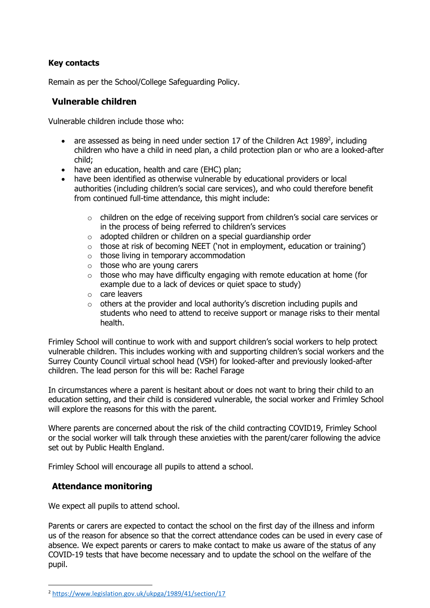#### **Key contacts**

Remain as per the School/College Safeguarding Policy.

### <span id="page-2-0"></span>**Vulnerable children**

Vulnerable children include those who:

- are assessed as being in need under section 17 of the Children Act 1989<sup>2</sup>, including children who have a child in need plan, a child protection plan or who are a looked-after child;
- have an education, health and care (EHC) plan;
- have been identified as otherwise vulnerable by educational providers or local authorities (including children's social care services), and who could therefore benefit from continued full-time attendance, this might include:
	- o children on the edge of receiving support from children's social care services or in the process of being referred to children's services
	- o adopted children or children on a special guardianship order
	- o those at risk of becoming NEET ('not in employment, education or training')
	- o those living in temporary accommodation
	- $\circ$  those who are young carers
	- $\circ$  those who may have difficulty engaging with remote education at home (for example due to a lack of devices or quiet space to study)
	- o care leavers
	- $\circ$  others at the provider and local authority's discretion including pupils and students who need to attend to receive support or manage risks to their mental health.

Frimley School will continue to work with and support children's social workers to help protect vulnerable children. This includes working with and supporting children's social workers and the Surrey County Council virtual school head (VSH) for looked-after and previously looked-after children. The lead person for this will be: Rachel Farage

In circumstances where a parent is hesitant about or does not want to bring their child to an education setting, and their child is considered vulnerable, the social worker and Frimley School will explore the reasons for this with the parent.

Where parents are concerned about the risk of the child contracting COVID19, Frimley School or the social worker will talk through these anxieties with the parent/carer following the advice set out by Public Health England.

Frimley School will encourage all pupils to attend a school.

## <span id="page-2-1"></span>**Attendance monitoring**

 $\overline{a}$ 

We expect all pupils to attend school.

Parents or carers are expected to contact the school on the first day of the illness and inform us of the reason for absence so that the correct attendance codes can be used in every case of absence. We expect parents or carers to make contact to make us aware of the status of any COVID-19 tests that have become necessary and to update the school on the welfare of the pupil.

<sup>2</sup> <https://www.legislation.gov.uk/ukpga/1989/41/section/17>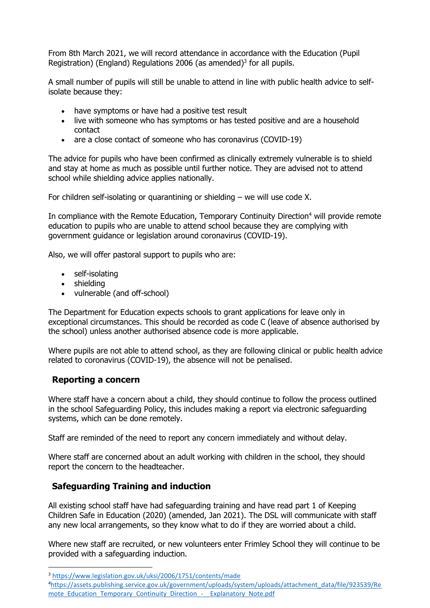From 8th March 2021, we will record attendance in accordance with the Education (Pupil Registration) (England) Regulations 2006 (as amended)<sup>3</sup> for all pupils.

A small number of pupils will still be unable to attend in line with public health advice to selfisolate because they:

- have symptoms or have had a positive test result
- live with someone who has symptoms or has tested positive and are a household contact
- are a close contact of someone who has coronavirus (COVID-19)

The advice for pupils who have been confirmed as clinically extremely vulnerable is to shield and stay at home as much as possible until further notice. They are advised not to attend school while shielding advice applies nationally.

For children self-isolating or quarantining or shielding – we will use code X.

In compliance with the Remote Education, Temporary Continuity Direction<sup>4</sup> will provide remote education to pupils who are unable to attend school because they are complying with government guidance or legislation around coronavirus (COVID-19).

Also, we will offer pastoral support to pupils who are:

- self-isolating
- shielding
- vulnerable (and off-school)

The Department for Education expects schools to grant applications for leave only in exceptional circumstances. This should be recorded as code C (leave of absence authorised by the school) unless another authorised absence code is more applicable.

Where pupils are not able to attend school, as they are following clinical or public health advice related to coronavirus (COVID-19), the absence will not be penalised.

#### <span id="page-3-0"></span>**Reporting a concern**

j

Where staff have a concern about a child, they should continue to follow the process outlined in the school Safeguarding Policy, this includes making a report via electronic safeguarding systems, which can be done remotely.

Staff are reminded of the need to report any concern immediately and without delay.

Where staff are concerned about an adult working with children in the school, they should report the concern to the headteacher.

#### <span id="page-3-1"></span>**Safeguarding Training and induction**

All existing school staff have had safeguarding training and have read part 1 of Keeping Children Safe in Education (2020) (amended, Jan 2021). The DSL will communicate with staff any new local arrangements, so they know what to do if they are worried about a child.

Where new staff are recruited, or new volunteers enter Frimley School they will continue to be provided with a safeguarding induction.

<sup>3</sup> <https://www.legislation.gov.uk/uksi/2006/1751/contents/made>

<sup>4</sup>[https://assets.publishing.service.gov.uk/government/uploads/system/uploads/attachment\\_data/file/923539/Re](https://assets.publishing.service.gov.uk/government/uploads/system/uploads/attachment_data/file/923539/Remote_Education_Temporary_Continuity_Direction_-__Explanatory_Note.pdf) mote\_Education\_Temporary\_Continuity\_Direction - Explanatory\_Note.pdf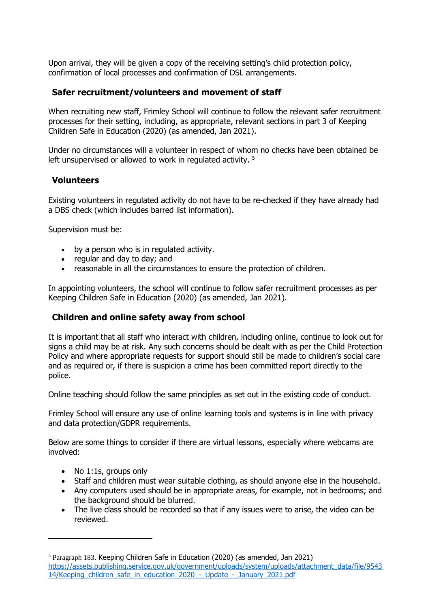Upon arrival, they will be given a copy of the receiving setting's child protection policy, confirmation of local processes and confirmation of DSL arrangements.

#### <span id="page-4-0"></span>**Safer recruitment/volunteers and movement of staff**

When recruiting new staff, Frimley School will continue to follow the relevant safer recruitment processes for their setting, including, as appropriate, relevant sections in part 3 of Keeping Children Safe in Education (2020) (as amended, Jan 2021).

Under no circumstances will a volunteer in respect of whom no checks have been obtained be left unsupervised or allowed to work in regulated activity.<sup>5</sup>

#### <span id="page-4-1"></span>**Volunteers**

Existing volunteers in regulated activity do not have to be re-checked if they have already had a DBS check (which includes barred list information).

Supervision must be:

- by a person who is in regulated activity.
- regular and day to day; and
- reasonable in all the circumstances to ensure the protection of children.

In appointing volunteers, the school will continue to follow safer recruitment processes as per Keeping Children Safe in Education (2020) (as amended, Jan 2021).

#### <span id="page-4-2"></span>**Children and online safety away from school**

It is important that all staff who interact with children, including online, continue to look out for signs a child may be at risk. Any such concerns should be dealt with as per the Child Protection Policy and where appropriate requests for support should still be made to children's social care and as required or, if there is suspicion a crime has been committed report directly to the police.

Online teaching should follow the same principles as set out in the existing code of conduct.

Frimley School will ensure any use of online learning tools and systems is in line with privacy and data protection/GDPR requirements.

Below are some things to consider if there are virtual lessons, especially where webcams are involved:

• No 1:1s, groups only

j

- Staff and children must wear suitable clothing, as should anyone else in the household.
- Any computers used should be in appropriate areas, for example, not in bedrooms; and the background should be blurred.
- The live class should be recorded so that if any issues were to arise, the video can be reviewed.

<sup>5</sup> Paragraph 183. Keeping Children Safe in Education (2020) (as amended, Jan 2021) [https://assets.publishing.service.gov.uk/government/uploads/system/uploads/attachment\\_data/file/9543](https://assets.publishing.service.gov.uk/government/uploads/system/uploads/attachment_data/file/954314/Keeping_children_safe_in_education_2020_-_Update_-_January_2021.pdf) [14/Keeping\\_children\\_safe\\_in\\_education\\_2020\\_-\\_Update\\_-\\_January\\_2021.pdf](https://assets.publishing.service.gov.uk/government/uploads/system/uploads/attachment_data/file/954314/Keeping_children_safe_in_education_2020_-_Update_-_January_2021.pdf)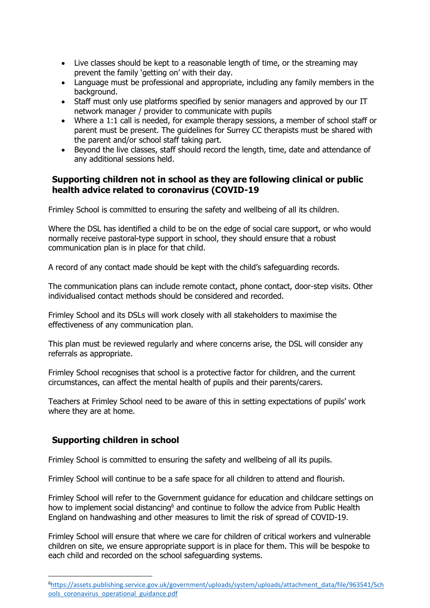- Live classes should be kept to a reasonable length of time, or the streaming may prevent the family 'getting on' with their day.
- Language must be professional and appropriate, including any family members in the background.
- Staff must only use platforms specified by senior managers and approved by our IT network manager / provider to communicate with pupils
- Where a 1:1 call is needed, for example therapy sessions, a member of school staff or parent must be present. The guidelines for Surrey CC therapists must be shared with the parent and/or school staff taking part.
- Beyond the live classes, staff should record the length, time, date and attendance of any additional sessions held.

### <span id="page-5-0"></span>**Supporting children not in school as they are following clinical or public health advice related to coronavirus (COVID-19**

Frimley School is committed to ensuring the safety and wellbeing of all its children.

Where the DSL has identified a child to be on the edge of social care support, or who would normally receive pastoral-type support in school, they should ensure that a robust communication plan is in place for that child.

A record of any contact made should be kept with the child's safeguarding records.

The communication plans can include remote contact, phone contact, door-step visits. Other individualised contact methods should be considered and recorded.

Frimley School and its DSLs will work closely with all stakeholders to maximise the effectiveness of any communication plan.

This plan must be reviewed regularly and where concerns arise, the DSL will consider any referrals as appropriate.

Frimley School recognises that school is a protective factor for children, and the current circumstances, can affect the mental health of pupils and their parents/carers.

Teachers at Frimley School need to be aware of this in setting expectations of pupils' work where they are at home.

## <span id="page-5-1"></span>**Supporting children in school**

-

Frimley School is committed to ensuring the safety and wellbeing of all its pupils.

Frimley School will continue to be a safe space for all children to attend and flourish.

Frimley School will refer to the Government guidance for education and childcare settings on how to implement social distancing<sup>6</sup> and continue to follow the advice from Public Health England on handwashing and other measures to limit the risk of spread of COVID-19.

Frimley School will ensure that where we care for children of critical workers and vulnerable children on site, we ensure appropriate support is in place for them. This will be bespoke to each child and recorded on the school safeguarding systems.

<sup>6</sup>[https://assets.publishing.service.gov.uk/government/uploads/system/uploads/attachment\\_data/file/963541/Sch](https://assets.publishing.service.gov.uk/government/uploads/system/uploads/attachment_data/file/963541/Schools_coronavirus_operational_guidance.pdf) [ools\\_coronavirus\\_operational\\_guidance.pdf](https://assets.publishing.service.gov.uk/government/uploads/system/uploads/attachment_data/file/963541/Schools_coronavirus_operational_guidance.pdf)